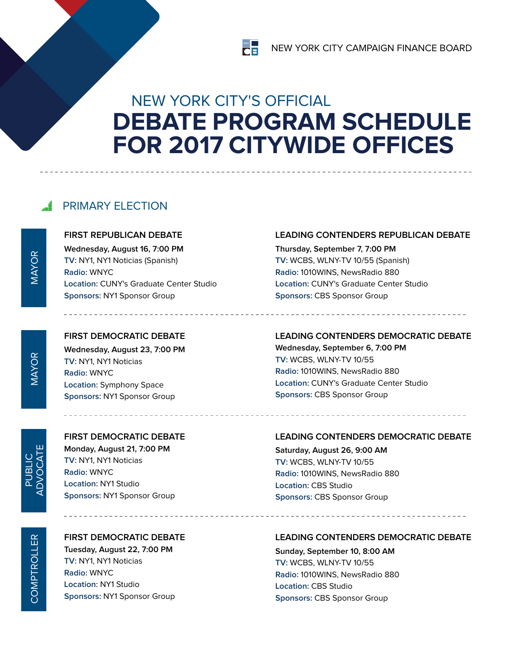# NEW YORK CITY'S OFFICIAL **DEBATE PROGRAM SCHEDULE FOR 2017 CITYWIDE OFFICES**

 $\begin{array}{c}\n\mathbf{N}^{\text{TC}} \\
\hline\n\end{array}$ 

## **FRIMARY ELECTION**

**first REPUBLICAN debate**

**Wednesday, August 16, 7:00 PM TV:** NY1, NY1 Noticias (Spanish) **Radio:** WNYC **Location:** CUNY's Graduate Center Studio **Sponsors:** NY1 Sponsor Group

**first DEMOCRATIC debate Wednesday, August 23, 7:00 PM TV:** NY1, NY1 Noticias **Radio:** WNYC **Location:** Symphony Space **Sponsors:** NY1 Sponsor Group

#### **Leading Contenders REPUBLICAN debate**

**Thursday, September 7, 7:00 PM TV:** WCBS, WLNY-TV 10/55 (Spanish) **Radio:** 1010WINS, NewsRadio 880 **Location:** CUNY's Graduate Center Studio **Sponsors:** CBS Sponsor Group

## **Leading Contenders DEMOCRATIC debate**

**Wednesday, September 6, 7:00 PM TV:** WCBS, WLNY-TV 10/55 **Radio:** 1010WINS, NewsRadio 880 **Location:** CUNY's Graduate Center Studio **Sponsors:** CBS Sponsor Group

### **first DEMOCRATIC debate**

**Monday, August 21, 7:00 PM TV:** NY1, NY1 Noticias **Radio:** WNYC **Location:** NY1 Studio **Sponsors:** NY1 Sponsor Group

#### **first DEMOCRATIC debate Tuesday, August 22, 7:00 PM TV:** NY1, NY1 Noticias

**Radio:** WNYC **Location:** NY1 Studio **Sponsors:** NY1 Sponsor Group

#### **Leading Contenders DEMOCRATIC debate**

**Saturday, August 26, 9:00 AM TV:** WCBS, WLNY-TV 10/55 **Radio:** 1010WINS, NewsRadio 880 **Location:** CBS Studio **Sponsors:** CBS Sponsor Group

#### **Leading Contenders DEMOCRATIC debate**

**Sunday, September 10, 8:00 AM TV:** WCBS, WLNY-TV 10/55 **Radio:** 1010WINS, NewsRadio 880 **Location:** CBS Studio **Sponsors:** CBS Sponsor Group